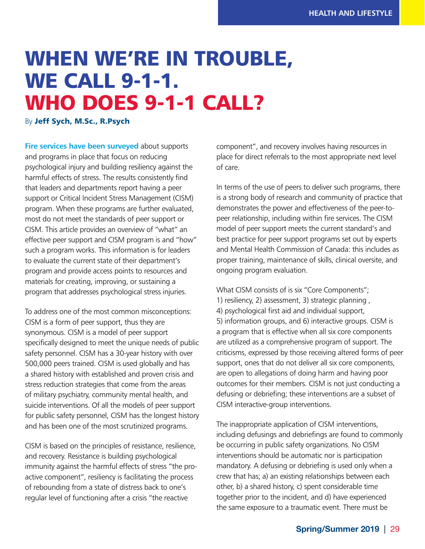## WHEN WE'RE IN TROUBLE, WE CALL 9-1-1. WHO DOES 9-1-1 CALL?

By Jeff Sych, M.Sc., R.Psych

**Fire services have been surveyed about supports** and programs in place that focus on reducing psychological injury and building resiliency against the harmful effects of stress. The results consistently find that leaders and departments report having a peer support or Critical Incident Stress Management (CISM) program. When these programs are further evaluated, most do not meet the standards of peer support or CISM. This article provides an overview of "what" an effective peer support and CISM program is and "how" such a program works. This information is for leaders to evaluate the current state of their department's program and provide access points to resources and materials for creating, improving, or sustaining a program that addresses psychological stress injuries.

To address one of the most common misconceptions: CISM is a form of peer support, thus they are synonymous. CISM is a model of peer support specifically designed to meet the unique needs of public safety personnel. CISM has a 30-year history with over 500,000 peers trained. CISM is used globally and has a shared history with established and proven crisis and stress reduction strategies that come from the areas of military psychiatry, community mental health, and suicide interventions. Of all the models of peer support for public safety personnel, CISM has the longest history and has been one of the most scrutinized programs.

CISM is based on the principles of resistance, resilience, and recovery. Resistance is building psychological immunity against the harmful effects of stress "the proactive component", resiliency is facilitating the process of rebounding from a state of distress back to one's regular level of functioning after a crisis "the reactive

component", and recovery involves having resources in place for direct referrals to the most appropriate next level of care.

In terms of the use of peers to deliver such programs, there is a strong body of research and community of practice that demonstrates the power and effectiveness of the peer-topeer relationship, including within fire services. The CISM model of peer support meets the current standard's and best practice for peer support programs set out by experts and Mental Health Commission of Canada: this includes as proper training, maintenance of skills, clinical oversite, and ongoing program evaluation.

What CISM consists of is six "Core Components"; 1) resiliency, 2) assessment, 3) strategic planning , 4) psychological first aid and individual support, 5) information groups, and 6) interactive groups. CISM is a program that is effective when all six core components are utilized as a comprehensive program of support. The criticisms, expressed by those receiving altered forms of peer support, ones that do not deliver all six core components, are open to allegations of doing harm and having poor outcomes for their members. CISM is not just conducting a defusing or debriefing; these interventions are a subset of CISM interactive-group interventions.

The inappropriate application of CISM interventions, including defusings and debriefings are found to commonly be occurring in public safety organizations. No CISM interventions should be automatic nor is participation mandatory. A defusing or debriefing is used only when a crew that has; a) an existing relationships between each other, b) a shared history, c) spent considerable time together prior to the incident, and d) have experienced the same exposure to a traumatic event. There must be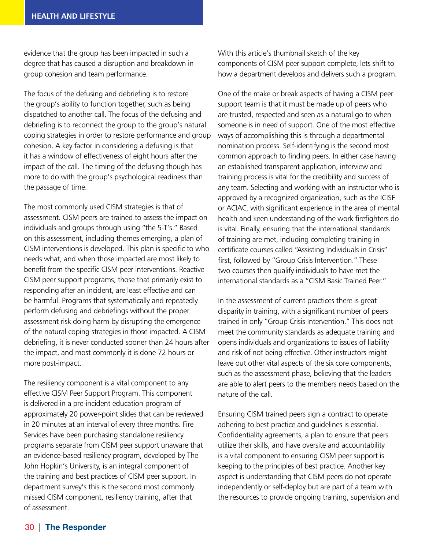evidence that the group has been impacted in such a degree that has caused a disruption and breakdown in group cohesion and team performance.

The focus of the defusing and debriefing is to restore the group's ability to function together, such as being dispatched to another call. The focus of the defusing and debriefing is to reconnect the group to the group's natural coping strategies in order to restore performance and group cohesion. A key factor in considering a defusing is that it has a window of effectiveness of eight hours after the impact of the call. The timing of the defusing though has more to do with the group's psychological readiness than the passage of time.

The most commonly used CISM strategies is that of assessment. CISM peers are trained to assess the impact on individuals and groups through using "the 5-T's." Based on this assessment, including themes emerging, a plan of CISM interventions is developed. This plan is specific to who needs what, and when those impacted are most likely to benefit from the specific CISM peer interventions. Reactive CISM peer support programs, those that primarily exist to responding after an incident, are least effective and can be harmful. Programs that systematically and repeatedly perform defusing and debriefings without the proper assessment risk doing harm by disrupting the emergence of the natural coping strategies in those impacted. A CISM debriefing, it is never conducted sooner than 24 hours after the impact, and most commonly it is done 72 hours or more post-impact.

The resiliency component is a vital component to any effective CISM Peer Support Program. This component is delivered in a pre-incident education program of approximately 20 power-point slides that can be reviewed in 20 minutes at an interval of every three months. Fire Services have been purchasing standalone resiliency programs separate from CISM peer support unaware that an evidence-based resiliency program, developed by The John Hopkin's University, is an integral component of the training and best practices of CISM peer support. In department survey's this is the second most commonly missed CISM component, resiliency training, after that of assessment.

With this article's thumbnail sketch of the key components of CISM peer support complete, lets shift to how a department develops and delivers such a program.

One of the make or break aspects of having a CISM peer support team is that it must be made up of peers who are trusted, respected and seen as a natural go to when someone is in need of support. One of the most effective ways of accomplishing this is through a departmental nomination process. Self-identifying is the second most common approach to finding peers. In either case having an established transparent application, interview and training process is vital for the credibility and success of any team. Selecting and working with an instructor who is approved by a recognized organization, such as the ICISF or ACIAC, with significant experience in the area of mental health and keen understanding of the work firefighters do is vital. Finally, ensuring that the international standards of training are met, including completing training in certificate courses called "Assisting Individuals in Crisis" first, followed by "Group Crisis Intervention." These two courses then qualify individuals to have met the international standards as a "CISM Basic Trained Peer."

In the assessment of current practices there is great disparity in training, with a significant number of peers trained in only "Group Crisis Intervention." This does not meet the community standards as adequate training and opens individuals and organizations to issues of liability and risk of not being effective. Other instructors might leave out other vital aspects of the six core components, such as the assessment phase, believing that the leaders are able to alert peers to the members needs based on the nature of the call.

Ensuring CISM trained peers sign a contract to operate adhering to best practice and guidelines is essential. Confidentiality agreements, a plan to ensure that peers utilize their skills, and have oversite and accountability is a vital component to ensuring CISM peer support is keeping to the principles of best practice. Another key aspect is understanding that CISM peers do not operate independently or self-deploy but are part of a team with the resources to provide ongoing training, supervision and